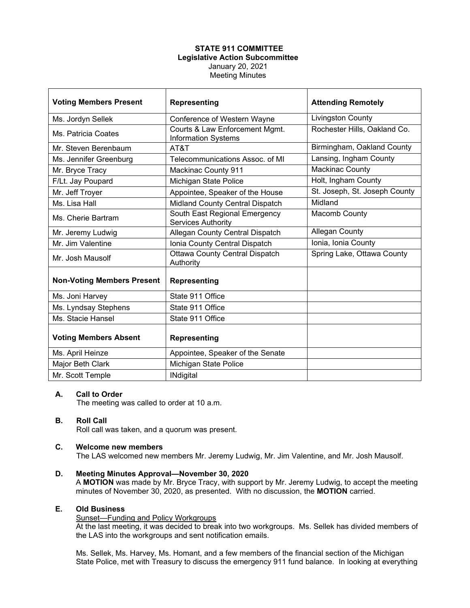## **STATE 911 COMMITTEE Legislative Action Subcommittee** January 20, 2021 Meeting Minutes

| <b>Voting Members Present</b>     | <b>Representing</b>                                          | <b>Attending Remotely</b>     |
|-----------------------------------|--------------------------------------------------------------|-------------------------------|
| Ms. Jordyn Sellek                 | Conference of Western Wayne                                  | <b>Livingston County</b>      |
| Ms. Patricia Coates               | Courts & Law Enforcement Mgmt.<br><b>Information Systems</b> | Rochester Hills, Oakland Co.  |
| Mr. Steven Berenbaum              | AT&T                                                         | Birmingham, Oakland County    |
| Ms. Jennifer Greenburg            | Telecommunications Assoc. of MI                              | Lansing, Ingham County        |
| Mr. Bryce Tracy                   | <b>Mackinac County 911</b>                                   | <b>Mackinac County</b>        |
| F/Lt. Jay Poupard                 | Michigan State Police                                        | Holt, Ingham County           |
| Mr. Jeff Troyer                   | Appointee, Speaker of the House                              | St. Joseph, St. Joseph County |
| Ms. Lisa Hall                     | Midland County Central Dispatch                              | Midland                       |
| Ms. Cherie Bartram                | South East Regional Emergency<br><b>Services Authority</b>   | Macomb County                 |
| Mr. Jeremy Ludwig                 | Allegan County Central Dispatch                              | Allegan County                |
| Mr. Jim Valentine                 | Ionia County Central Dispatch                                | Ionia, Ionia County           |
| Mr. Josh Mausolf                  | <b>Ottawa County Central Dispatch</b><br>Authority           | Spring Lake, Ottawa County    |
| <b>Non-Voting Members Present</b> | <b>Representing</b>                                          |                               |
| Ms. Joni Harvey                   | State 911 Office                                             |                               |
| Ms. Lyndsay Stephens              | State 911 Office                                             |                               |
| Ms. Stacie Hansel                 | State 911 Office                                             |                               |
| <b>Voting Members Absent</b>      | <b>Representing</b>                                          |                               |
| Ms. April Heinze                  | Appointee, Speaker of the Senate                             |                               |
| Major Beth Clark                  | Michigan State Police                                        |                               |
| Mr. Scott Temple                  | <b>INdigital</b>                                             |                               |

### **A. Call to Order**

The meeting was called to order at 10 a.m.

# **B. Roll Call**

Roll call was taken, and a quorum was present.

#### **C. Welcome new members**

The LAS welcomed new members Mr. Jeremy Ludwig, Mr. Jim Valentine, and Mr. Josh Mausolf.

**D. Meeting Minutes Approval—November 30, 2020** A **MOTION** was made by Mr. Bryce Tracy, with support by Mr. Jeremy Ludwig, to accept the meeting minutes of November 30, 2020, as presented. With no discussion, the **MOTION** carried.

#### **E. Old Business**

#### Sunset—Funding and Policy Workgroups

At the last meeting, it was decided to break into two workgroups. Ms. Sellek has divided members of the LAS into the workgroups and sent notification emails.

Ms. Sellek, Ms. Harvey, Ms. Homant, and a few members of the financial section of the Michigan State Police, met with Treasury to discuss the emergency 911 fund balance. In looking at everything